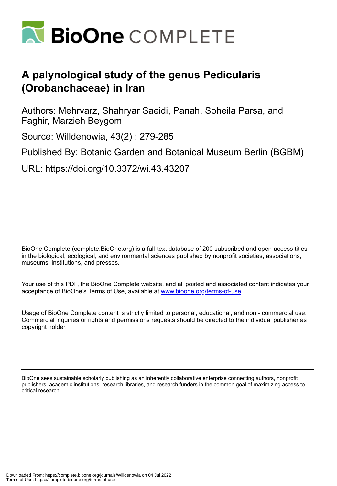

# **A palynological study of the genus Pedicularis (Orobanchaceae) in Iran**

Authors: Mehrvarz, Shahryar Saeidi, Panah, Soheila Parsa, and Faghir, Marzieh Beygom

Source: Willdenowia, 43(2) : 279-285

Published By: Botanic Garden and Botanical Museum Berlin (BGBM)

URL: https://doi.org/10.3372/wi.43.43207

BioOne Complete (complete.BioOne.org) is a full-text database of 200 subscribed and open-access titles in the biological, ecological, and environmental sciences published by nonprofit societies, associations, museums, institutions, and presses.

Your use of this PDF, the BioOne Complete website, and all posted and associated content indicates your acceptance of BioOne's Terms of Use, available at www.bioone.org/terms-of-use.

Usage of BioOne Complete content is strictly limited to personal, educational, and non - commercial use. Commercial inquiries or rights and permissions requests should be directed to the individual publisher as copyright holder.

BioOne sees sustainable scholarly publishing as an inherently collaborative enterprise connecting authors, nonprofit publishers, academic institutions, research libraries, and research funders in the common goal of maximizing access to critical research.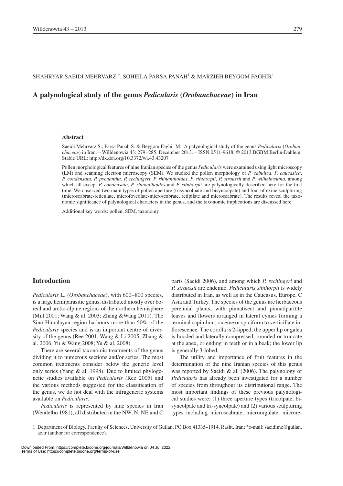## SHAHRYAR SAEIDI MEHRVARZ $^{\rm I*}$ , SOHEILA PARSA PANAH $^{\rm I}$  & MARZIEH BEYGOM FAGHIR $^{\rm I}$

# **A palynological study of the genus** *Pedicularis* **(***Orobanchaceae***) in Iran**

#### **Abstract**

Saeidi Mehrvarz S., Parsa Panah S. & Beygom Faghir M.: A palynological study of the genus *Pedicularis* (*Orobanchaceae*) in Iran. – Willdenowia 43: 279–285. December 2013. – ISSN 0511-9618; © 2013 BGBM Berlin-Dahlem. Stable URL: http://dx.doi.org/10.3372/wi.43.43207

Pollen morphological features of nine Iranian species of the genus *Pedicularis* were examined using light microscopy (LM) and scanning electron microscopy (SEM). We studied the pollen morphology of *P. cabulica*, *P. caucasica*, *P. condensata*, *P. pycnantha*, *P. rechingeri*, *P. rhinanthoides*, *P. sibthorpii*, *P. straussii* and *P. wilhelmsiana*, among which all except *P. condensata*, *P. rhinanthoides* and *P. sibthorpii* are palynologically described here for the first time. We observed two main types of pollen aperture (trisyncolpate and bisyncolpate) and four of exine sculpturing (microscabrate-reticulate, microfoveolate-microscabrate, retipilate and microscabrate). The results reveal the taxonomic significance of palynological characters in the genus, and the taxonomic implications are discussed here.

Additional key words: pollen, SEM, taxonomy

### **Introduction**

*Pedicularis* L. (*Orobanchaceae*), with 600–800 species, is a large hemiparasitic genus, distributed mostly over boreal and arctic-alpine regions of the northern hemisphere (Mill 2001; Wang & al. 2003; Zhang &Wang 2011). The Sino-Himalayan region harbours more than 50% of the *Pedicularis* species and is an important centre of diversity of the genus (Ree 2001; Wang & Li 2005; Zhang & al. 2006; Yu & Wang 2008; Yu & al. 2008).

There are several taxonomic treatments of the genus dividing it to numerous sections and/or series. The most common treatments consider below the generic level only series (Yang & al. 1998). Due to limited phylogenetic studies available on *Pedicularis* (Ree 2005) and the various methods suggested for the classification of the genus, we do not deal with the infrageneric systems available on *Pedicularis*.

*Pedicularis* is represented by nine species in Iran (Wendelbo 1981), all distributed in the NW, N, NE and C parts (Saeidi 2006), and among which *P. rechingeri* and *P. straussii* are endemic. *Pedicularis sibthorpii* is widely distributed in Iran, as well as in the Caucasus, Europe, C Asia and Turkey. The species of the genus are herbaceous perennial plants, with pinnatisect and pinnatiparitite leaves and flowers arranged in lateral cymes forming a terminal capitulum, raceme or spiciform to verticillate inflorescence. The corolla is 2-lipped; the upper lip or galea is hooded and laterally compressed, rounded or truncate at the apex, or ending in teeth or in a beak; the lower lip is generally 3-lobed.

The utility and importance of fruit features in the determination of the nine Iranian species of this genus was reported by Saeidi & al. (2006). The palynology of *Pedicularis* has already been investigated for a number of species from throughout its distributional range. The most important findings of these previous palynological studies were: (1) three aperture types (tricolpate, bisyncolpate and tri-syncolpate) and (2) various sculpturing types including microscabrate, microrugulate, microre-

Downloaded From: https://complete.bioone.org/journals/Willdenowia on 04 Jul 2022 Terms of Use: https://complete.bioone.org/terms-of-use

<sup>1</sup> Department of Biology, Faculty of Sciences, University of Guilan, PO Box 41335–1914, Rasht, Iran; \*e-mail: saeidimz@guilan. ac.ir (author for correspondence).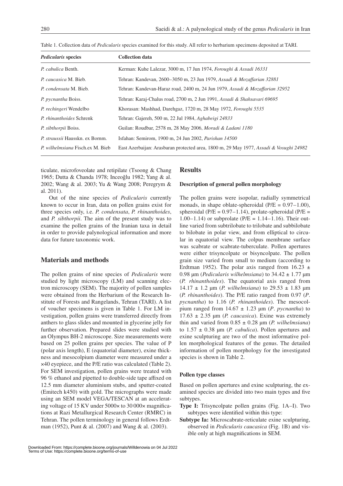Table 1. Collection data of *Pedicularis* species examined for this study. All refer to herbarium specimens deposited at TARI.

| <i>Pedicularis</i> species       | <b>Collection data</b>                                                                 |
|----------------------------------|----------------------------------------------------------------------------------------|
| P. cabulica Benth.               | Kerman: Kuhe Lalezar, 3000 m, 17 Jun 1974, Foroughi & Assadi 16331                     |
| P. caucasica M. Bieb.            | Tehran: Kandevan, 2600–3050 m, 23 Jun 1979, Assadi & Mozaffarian 32881                 |
| P. condensata M. Bieb.           | Tehran: Kandevan-Haraz road, 2400 m, 24 Jun 1979, Assadi & Mozaffarian 32952           |
| P. pycnantha Boiss.              | Tehran: Karaj-Chalus road, 2700 m, 2 Jun 1991, Assadi & Shahsavari 69695               |
| <i>P. rechingeri</i> Wendelbo    | Khorasan: Mashhad, Darehgaz, 1720 m, 28 May 1972, Foroughi 5535                        |
| P. rhinanthoides Schrenk         | Tehran: Gajereh, 500 m, 22 Jul 1984, Aghabeigi 24833                                   |
| P. sibthorpii Boiss.             | Guilan: Roudbar, 2578 m, 28 May 2006, Moradi & Ladani 1180                             |
| P. straussii Hausskn. ex Bornm.  | Isfahan: Semirom, 1900 m, 24 Jun 2002, <i>Parishan 14500</i>                           |
| P. wilhelmsiana Fisch.ex M. Bieb | East Azerbaijan: Arasbaran protected area, 1800 m, 29 May 1977, Assadi & Vosughi 24982 |

ticulate, microfoveolate and retipilate (Tsoong & Chang 1965; Dutta & Chanda 1978; Inceoğlu 1982; Yang & al. 2002; Wang & al. 2003; Yu & Wang 2008; Peregrym & al. 2011).

Out of the nine species of *Pedicularis* currently known to occur in Iran, data on pollen grains exist for three species only, i.e. *P. condensata*, *P. rhinanthoides*, and *P. sibthorpii*. The aim of the present study was to examine the pollen grains of the Iranian taxa in detail in order to provide palynological information and more data for future taxonomic work.

# **Materials and methods**

The pollen grains of nine species of *Pedicularis* were studied by light microscopy (LM) and scanning electron microscopy (SEM). The majority of pollen samples were obtained from the Herbarium of the Research Institute of Forests and Rangelands, Tehran (TARI). A list of voucher specimens is given in Table 1. For LM investigation, pollen grains were transferred directly from anthers to glass slides and mounted in glycerine jelly for further observation. Prepared slides were studied with an Olympus BH-2 microscope. Size measurements were based on 25 pollen grains per species. The value of P (polar axis length), E (equatorial diameter), exine thickness and mesocolpium diameter were measured under a ×40 eyepiece, and the P/E ratio was calculated (Table 2). For SEM investigation, pollen grains were treated with 96 % ethanol and pipetted to double-side tape affixed on 12.5 mm diameter aluminium stubs, and sputter-coated (Emitech k450) with gold. The micrographs were made using an SEM model VEGA/TESCAN at an accelerating voltage of 15 KV under 5000× to 30 000× magnifications at Razi Metallurgical Research Center (RMRC) in Tehran. The pollen terminology in general follows Erdtman (1952), Punt & al. (2007) and Wang & al. (2003).

## **Results**

#### **Description of general pollen morphology**

The pollen grains were isopolar, radially symmetrical monads, in shape oblate-spheroidal ( $P/E = 0.97-1.00$ ), spheroidal ( $P/E = 0.97-1.14$ ), prolate-spheroidal ( $P/E =$ 1.00–1.14) or subprolate ( $P/E = 1.14$ –1.16). Their outline varied from subtrilobate to trilobate and subbilobate to bilobate in polar view, and from elliptical to circular in equatorial view. The colpus membrane surface was scabrate or scabrate-tuberculate. Pollen apertures were either trisyncolpate or bisyncolpate. The pollen grain size varied from small to medium (according to Erdtman 1952). The polar axis ranged from  $16.23 \pm 1$ 0.98 µm (*Pedicularis wilhelmsiana*) to 34.42 ± 1.77 µm (*P. rhinanthoides*). The equatorial axis ranged from 14.17 ± 1.2 µm (*P. wilhelmsiana*) to 29.53 ± 1.83 µm (*P. rhinanthoides*). The P/E ratio ranged from 0.97 (*P*. *pycnantha*) to 1.16 (*P. rhinanthoides*). The mesocolpium ranged from  $14.67 \pm 1.23$  µm (*P. pycnantha*) to  $17.63 \pm 2.35$  µm (*P. caucasica*). Exine was extremely thin and varied from  $0.85 \pm 0.28$  µm (*P. wilhelmsiana*) to  $1.57 \pm 0.38$  µm (*P. cabulica*). Pollen apertures and exine sculpturing are two of the most informative pollen morphological features of the genus. The detailed information of pollen morphology for the investigated species is shown in Table 2.

#### **Pollen type classes**

Based on pollen apertures and exine sculpturing, the examined species are divided into two main types and five subtypes.

- **Type I:** Trisyncolpate pollen grains (Fig. 1A–I). Two subtypes were identified within this type:
- **Subtype Ia:** Microscabrate-reticulate exine sculpturing, observed in *Pedicularis caucasica* (Fig. 1B) and visible only at high magnifications in SEM.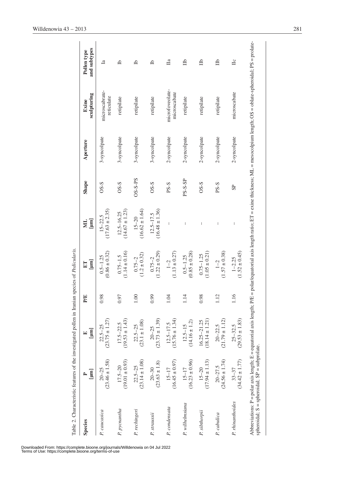| <b>Species</b>   | $\boxed{\text{mm}}$<br>$\rightarrow$ | $\begin{bmatrix} \mathbf{m} \end{bmatrix}$<br>$\mathbf{E}$ | P/E  | $\left[\mu\mathrm{m}\right]$<br>$E_{\rm T}$ | $\mathbf{[mm]}$<br>E                 | Shape     | Aperture     | sculpturing<br>Exine            | and subtypes<br>Pollen type |
|------------------|--------------------------------------|------------------------------------------------------------|------|---------------------------------------------|--------------------------------------|-----------|--------------|---------------------------------|-----------------------------|
| P. caucasica     | $(23.46 \pm 1.58)$<br>$20 - 25$      | $(23.75 \pm 1.27)$<br>$22.5 - 25$                          | 0.98 | $(0.86 \pm 0.32)$<br>$0.5 - 1.25$           | $(17.63 \pm 2.35)$<br>$15 - 22.5$    | $OS-S$    | 3-syncolpate | microscabrate-<br>reticulate    | $\mathbb{E}$                |
| P. pycnantha     | $(19.01 \pm 0.93)$<br>$17.5 - 20$    | $(19.53 \pm 1.43)$<br>$17.5 - 22.5$                        | 0.97 | $(1.14 \pm 0.16)$<br>$0.75 - 1.5$           | $(14.67 \pm 1.23)$<br>$12.5 - 16.25$ | $S-S$     | 3-syncolpate | retipilate                      | A                           |
| P. rechingeri    | $(23.14 \pm 1.08)$<br>$22.5 - 25$    | $(23.1 \pm 1.08)$<br>$22.5 - 25$                           | 1.00 | $(1.2 \pm 0.32)$<br>$0.75 - 2$              | $(16.62 \pm 1.64)$<br>$15 - 20$      | $OS-S-PS$ | 3-syncolpate | retipilate                      | ЧI                          |
| P. straussii     | $(23.63 \pm 1.8)$<br>$20 - 30$       | $(23.73 \pm 1.39)$<br>$20 - 25$                            | 0.99 | $(1.22 \pm 0.29)$<br>$0.75 - 2$             | $(16.48 \pm 1.36)$<br>$12.5 - 17.5$  | $OS-S$    | 3-syncolpate | retipilate                      | A                           |
| P. condensata    | $(16.45 \pm 0.97)$<br>$15 - 17$      | $(15.76 \pm 1.34)$<br>$12.5 - 17.5$                        | 1.04 | $(1.13 \pm 0.27)$<br>$1 - 2$                |                                      | PS-S      | 2-syncolpate | microfoveolate-<br>microscabate | $\Box$ a                    |
| P. wilhelmsiana  | $(16.23 \pm 0.96)$<br>$15 - 17$      | $(14.16 \pm 1.2)$<br>$12.5 - 15$                           | 1.14 | $(0.85 \pm 0.28)$<br>$0.5 - 1.25$           | $\overline{\phantom{a}}$             | $PS-S-SP$ | 2-syncolpate | retipilate                      | Щp                          |
| P. sibthorpii    | $(17.94 \pm 1.13)$<br>$15 - 20$      | $(18.14 \pm 1.21)$<br>$16.25 - 21.25$                      | 0.98 | $(1.05 \pm 0.21)$<br>$0.75 - 1.25$          | I                                    | $OS-S$    | 2-syncolpate | retipilate                      | Щp                          |
| P. cabulica      | $(24.56 \pm 1.74)$<br>$20 - 27.5$    | $(21.79 \pm 1.12)$<br>$20 - 22.5$                          | 1.12 | $(1.57 \pm 0.38)$<br>$1 - 2$                | $\overline{\phantom{a}}$             | PS-S      | 2-syncolpate | retipilate                      | Щ                           |
| P. rhinanthoides | $(34.42 \pm 1.77)$<br>$33 - 37$      | $(29.53 \pm 1.83)$<br>$25 - 32.5$                          | 1.16 | $(1.52 \pm 0.45)$<br>$1 - 2.25$             | I                                    | <b>SP</b> | 2-syncolpate | microscabate                    | $\overline{\Pi}$ c          |

Downloaded From: https://complete.bioone.org/journals/Willdenowia on 04 Jul 2022 Terms of Use: https://complete.bioone.org/terms-of-use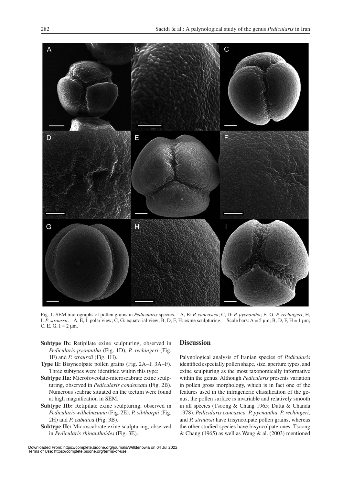

Fig. 1. SEM micrographs of pollen grains in *Pedicularis* species. – A, B: *P. caucasica*; C, D: *P. pycnantha*; E–G: *P. rechingeri*; H, I: *P. straussii*. – A, E, I: polar view; C, G: equatorial view; B, D, F, H: exine sculpturing. – Scale bars: A = 5 µm; B, D, F, H = 1 µm; C, E, G,  $I = 2 \mu m$ .

- **Subtype Ib:** Retipilate exine sculpturing, observed in *Pedicularis pycnantha* (Fig. 1D), *P. rechingeri* (Fig. 1F) and *P. straussii* (Fig. 1H).
- **Type II:** Bisyncolpate pollen grains (Fig. 2A–I; 3A–F). Three subtypes were identified within this type:
- **Subtype IIa:** Microfoveolate-microscabrate exine sculpturing, observed in *Pedicularis condensata* (Fig. 2B). Numerous scabrae situated on the tectum were found at high magnification in SEM.
- **Subtype IIb:** Retipilate exine sculpturing, observed in *Pedicularis wilhelmsiana* (Fig. 2E), *P. sibthorpii* (Fig. 2H) and *P. cabulica* (Fig. 3B).
- **Subtype IIc:** Microscabrate exine sculpturing, observed in *Pedicularis rhinanthoides* (Fig. 3E).

### **Discussion**

Palynological analysis of Iranian species of *Pedicularis* identified especially pollen shape, size, aperture types, and exine sculpturing as the most taxonomically informative within the genus. Although *Pedicularis* presents variation in pollen gross morphology, which is in fact one of the features used in the infrageneric classification of the genus, the pollen surface is invariable and relatively smooth in all species (Tsoong & Chang 1965; Dutta & Chanda 1978). *Pedicularis caucasica, P. pycnantha, P. rechingeri*, and *P. straussii* have trisyncolpate pollen grains, whereas the other studied species have bisyncolpate ones. Tsoong & Chang (1965) as well as Wang & al. (2003) mentioned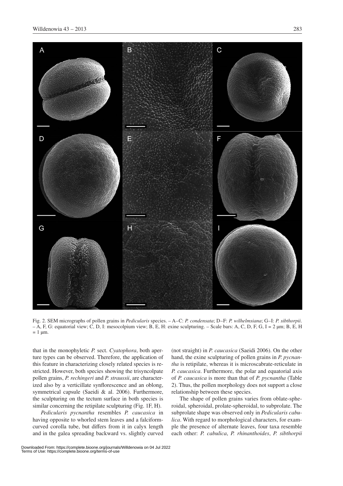

Fig. 2. SEM micrographs of pollen grains in *Pedicularis* species. – A–C: *P. condensata*; D–F: *P. wilhelmsiana*; G–I: *P. sibthorpii*. – A, F, G: equatorial view; C, D, I: mesocolpium view; B, E, H: exine sculpturing. – Scale bars: A, C, D, F, G, I = 2 µm; B, E, H  $= 1 \mu m$ .

that in the monophyletic *P.* sect. *Cyatophora*, both aperture types can be observed. Therefore, the application of this feature in characterizing closely related species is restricted. However, both species showing the trisyncolpate pollen grains, *P. rechingeri* and *P. straussii*, are characterized also by a verticillate synflorescence and an oblong, symmetrical capsule (Saeidi & al. 2006). Furthermore, the sculpturing on the tectum surface in both species is similar concerning the retipilate sculpturing (Fig. 1F, H).

*Pedicularis pycnantha* resembles *P. caucasica* in having opposite to whorled stem leaves and a falciformcurved corolla tube, but differs from it in calyx length and in the galea spreading backward vs. slightly curved

(not straight) in *P. caucasica* (Saeidi 2006). On the other hand, the exine sculpturing of pollen grains in *P. pycnantha* is retipilate, whereas it is microscabrate-reticulate in *P. caucasica*. Furthermore, the polar and equatorial axis of *P. caucasica* is more than that of *P. pycnantha* (Table 2). Thus, the pollen morphology does not support a close relationship between these species.

The shape of pollen grains varies from oblate-spheroidal, spheroidal, prolate-spheroidal, to subprolate. The subprolate shape was observed only in *Pedicularis cabulica*. With regard to morphological characters, for example the presence of alternate leaves, four taxa resemble each other: *P. cabulica*, *P. rhinanthoides*, *P. sibthorpii*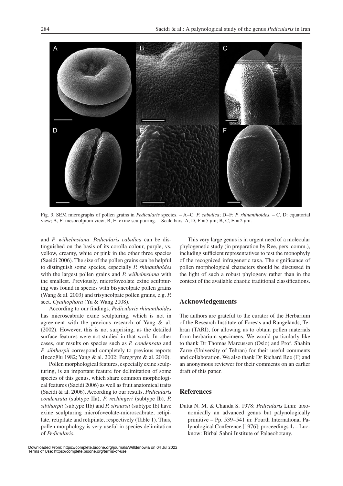

Fig. 3. SEM micrographs of pollen grains in *Pedicularis* species. – A–C: *P. cabulica*; D–F: *P. rhinanthoides*. – C, D: equatorial view; A, F: mesocolpium view; B, E: exine sculpturing. – Scale bars: A, D, F = 5  $\mu$ m; B, C, E = 2  $\mu$ m.

and *P. wilhelmsiana*. *Pedicularis cabulica* can be distinguished on the basis of its corolla colour, purple, vs. yellow, creamy, white or pink in the other three species (Saeidi 2006). The size of the pollen grains can be helpful to distinguish some species, especially *P. rhinanthoides*  with the largest pollen grains and *P. wilhelmsiana* with the smallest. Previously, microfoveolate exine sculpturing was found in species with bisyncolpate pollen grains (Wang & al. 2003) and trisyncolpate pollen grains, e.g. *P.* sect. *Cyathophora* (Yu & Wang 2008).

According to our findings, *Pedicularis rhinanthoides* has microscabrate exine sculpturing, which is not in agreement with the previous research of Yang & al. (2002). However, this is not surprising, as the detailed surface features were not studied in that work. In other cases, our results on species such as *P. condensata* and *P. sibthorpii* correspond completely to previous reports (Inceoğlu 1982; Yang & al. 2002; Peregrym & al. 2010).

Pollen morphological features, especially exine sculpturing, is an important feature for delimitation of some species of this genus, which share common morphological features (Saeidi 2006) as well as fruit anatomical traits (Saeidi & al. 2006). According to our results, *Pedicularis condensata* (subtype IIa), *P. rechingeri* (subtype Ib), *P. sibthorpii* (subtype IIb) and *P. straussii* (subtype Ib) have exine sculpturing microfoveolate-microscabrate, retipilate, retipilate and retipilate, respectively (Table 1). Thus, pollen morphology is very useful in species delimitation of *Pedicularis*.

This very large genus is in urgent need of a molecular phylogenetic study (in preparation by Ree, pers. comm.), including sufficient representatives to test the monophyly of the recognized infrageneric taxa. The significance of pollen morphological characters should be discussed in the light of such a robust phylogeny rather than in the context of the available chaotic traditional classifications.

### **Acknowledgements**

The authors are grateful to the curator of the Herbarium of the Research Institute of Forests and Rangelands, Tehran (TARI), for allowing us to obtain pollen materials from herbarium specimens. We would particularly like to thank Dr Thomas Marcussen (Oslo) and Prof. Shahin Zarre (University of Tehran) for their useful comments and collaboration. We also thank Dr Richard Ree (F) and an anonymous reviewer for their comments on an earlier draft of this paper.

## **References**

Dutta N. M. & Chanda S. 1978: *Pedicularis* Linn: taxonomically an advanced genus but palynologically primitive – Pp. 539–541 in: Fourth International Palynological Conference [1976]: proceedings **1.** – Lucknow: Birbal Sahni Institute of Palaeobotany.